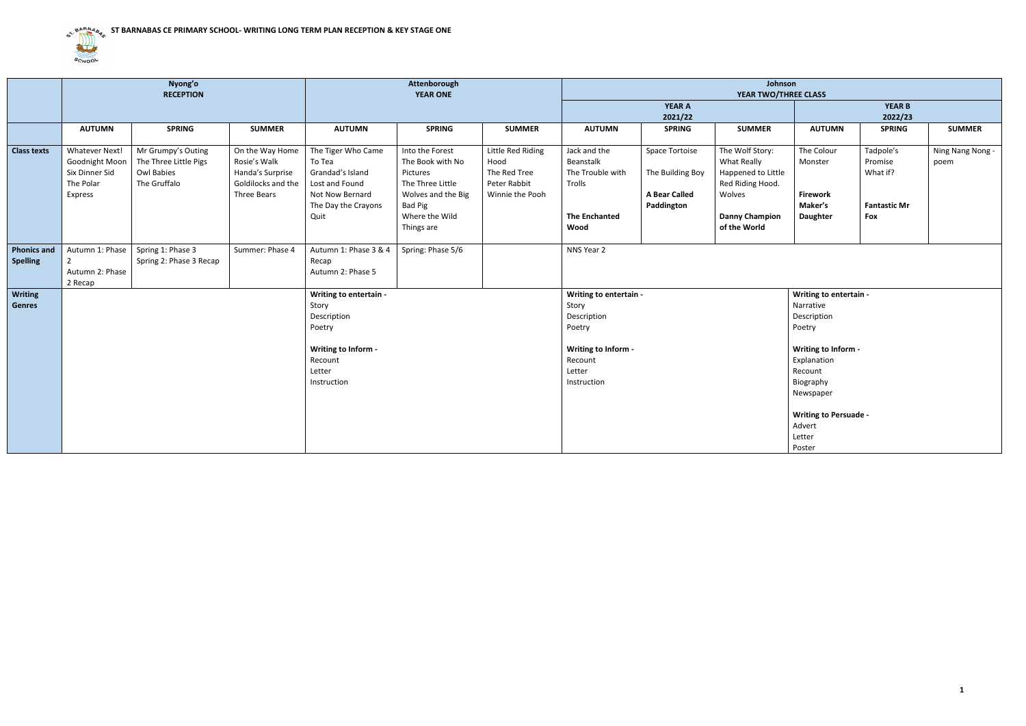

|                                       | Nyong'o<br><b>RECEPTION</b>                                                       |                                                                           | Attenborough<br><b>YEAR ONE</b>                                                          |                                                                                                                      |                                                                                                                                             | Johnson<br>YEAR TWO/THREE CLASS                                              |                                                                                                                     |                                                                          |                                                                                                                             |                                                                                                                                                                                                       |                                                                |                          |
|---------------------------------------|-----------------------------------------------------------------------------------|---------------------------------------------------------------------------|------------------------------------------------------------------------------------------|----------------------------------------------------------------------------------------------------------------------|---------------------------------------------------------------------------------------------------------------------------------------------|------------------------------------------------------------------------------|---------------------------------------------------------------------------------------------------------------------|--------------------------------------------------------------------------|-----------------------------------------------------------------------------------------------------------------------------|-------------------------------------------------------------------------------------------------------------------------------------------------------------------------------------------------------|----------------------------------------------------------------|--------------------------|
|                                       |                                                                                   |                                                                           |                                                                                          |                                                                                                                      |                                                                                                                                             |                                                                              |                                                                                                                     | <b>YEAR A</b><br>2021/22                                                 |                                                                                                                             |                                                                                                                                                                                                       | <b>YEAR B</b><br>2022/23                                       |                          |
|                                       | <b>AUTUMN</b>                                                                     | <b>SPRING</b>                                                             | <b>SUMMER</b>                                                                            | <b>AUTUMN</b>                                                                                                        | <b>SPRING</b>                                                                                                                               | <b>SUMMER</b>                                                                | <b>AUTUMN</b>                                                                                                       | <b>SPRING</b>                                                            | <b>SUMMER</b>                                                                                                               | <b>AUTUMN</b>                                                                                                                                                                                         | <b>SPRING</b>                                                  | <b>SUMMER</b>            |
| <b>Class texts</b>                    | <b>Whatever Next!</b><br>Goodnight Moon<br>Six Dinner Sid<br>The Polar<br>Express | Mr Grumpy's Outing<br>The Three Little Pigs<br>Owl Babies<br>The Gruffalo | On the Way Home<br>Rosie's Walk<br>Handa's Surprise<br>Goldilocks and the<br>Three Bears | The Tiger Who Came<br>To Tea<br>Grandad's Island<br>Lost and Found<br>Not Now Bernard<br>The Day the Crayons<br>Quit | Into the Forest<br>The Book with No<br>Pictures<br>The Three Little<br>Wolves and the Big<br><b>Bad Pig</b><br>Where the Wild<br>Things are | Little Red Riding<br>Hood<br>The Red Tree<br>Peter Rabbit<br>Winnie the Pooh | Jack and the<br>Beanstalk<br>The Trouble with<br>Trolls<br><b>The Enchanted</b><br>Wood                             | Space Tortoise<br>The Building Boy<br><b>A Bear Called</b><br>Paddington | The Wolf Story:<br>What Really<br>Happened to Little<br>Red Riding Hood.<br>Wolves<br><b>Danny Champion</b><br>of the World | The Colour<br>Monster<br><b>Firework</b><br>Maker's<br>Daughter                                                                                                                                       | Tadpole's<br>Promise<br>What if?<br><b>Fantastic Mr</b><br>Fox | Ning Nang Nong -<br>poem |
| <b>Phonics and</b><br><b>Spelling</b> | Autumn 1: Phase<br>Autumn 2: Phase<br>2 Recap                                     | Spring 1: Phase 3<br>Spring 2: Phase 3 Recap                              | Summer: Phase 4                                                                          | Autumn 1: Phase 3 & 4<br>Recap<br>Autumn 2: Phase 5                                                                  | Spring: Phase 5/6                                                                                                                           |                                                                              | NNS Year 2                                                                                                          |                                                                          |                                                                                                                             |                                                                                                                                                                                                       |                                                                |                          |
| <b>Writing</b><br><b>Genres</b>       |                                                                                   |                                                                           |                                                                                          | Writing to entertain -<br>Story<br>Description<br>Poetry<br>Writing to Inform -<br>Recount<br>Letter<br>Instruction  |                                                                                                                                             |                                                                              | Writing to entertain -<br>Story<br>Description<br>Poetry<br>Writing to Inform -<br>Recount<br>Letter<br>Instruction |                                                                          |                                                                                                                             | Writing to entertain -<br>Narrative<br>Description<br>Poetry<br>Writing to Inform -<br>Explanation<br>Recount<br>Biography<br>Newspaper<br><b>Writing to Persuade -</b><br>Advert<br>Letter<br>Poster |                                                                |                          |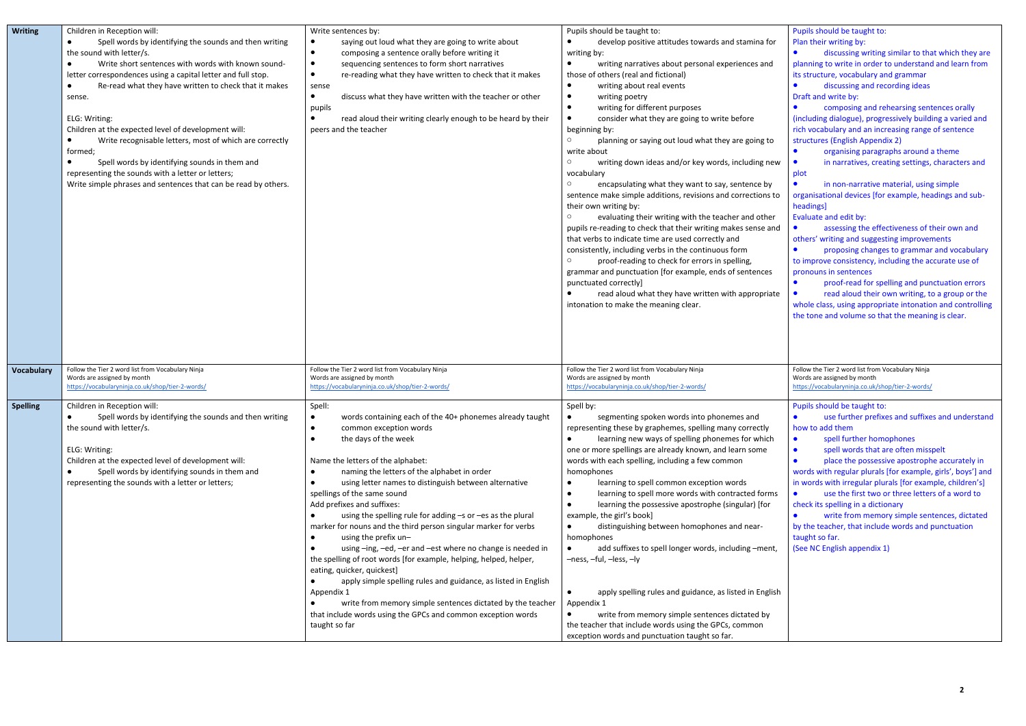| <b>Writing</b>    | Children in Reception will:<br>Spell words by identifying the sounds and then writing<br>the sound with letter/s.<br>Write short sentences with words with known sound-<br>letter correspondences using a capital letter and full stop.<br>Re-read what they have written to check that it makes<br>sense.<br>ELG: Writing:<br>Children at the expected level of development will:<br>Write recognisable letters, most of which are correctly<br>formed;<br>Spell words by identifying sounds in them and<br>representing the sounds with a letter or letters;<br>Write simple phrases and sentences that can be read by others. | Write sentences by:<br>saying out loud what they are going to write about<br>$\bullet$<br>composing a sentence orally before writing it<br>$\bullet$<br>sequencing sentences to form short narratives<br>$\bullet$<br>re-reading what they have written to check that it makes<br>$\bullet$<br>sense<br>discuss what they have written with the teacher or other<br>$\bullet$<br>pupils<br>read aloud their writing clearly enough to be heard by their<br>peers and the teacher                                                                                                                                                                                                                                                                                                                                                                                                                                                            | Pupils should be taught to:<br>develop positive attitudes towards and stamina for<br>$\bullet$<br>writing by:<br>writing narratives about personal experiences and<br>$\bullet$<br>those of others (real and fictional)<br>writing about real events<br>$\bullet$<br>writing poetry<br>$\bullet$<br>writing for different purposes<br>$\bullet$<br>consider what they are going to write before<br>$\bullet$<br>beginning by:<br>$\circ$<br>planning or saying out loud what they are going to<br>write about<br>$\circ$<br>writing down ideas and/or key words, including new<br>vocabulary<br>$\circ$<br>encapsulating what they want to say, sentence by<br>sentence make simple additions, revisions and corrections to<br>their own writing by:<br>evaluating their writing with the teacher and other<br>$\circ$<br>pupils re-reading to check that their writing makes sense and<br>that verbs to indicate time are used correctly and<br>consistently, including verbs in the continuous form<br>$\circ$<br>proof-reading to check for errors in spelling,<br>grammar and punctuation [for example, ends of sentences<br>punctuated correctly]<br>read aloud what they have written with appropriate<br>intonation to make the meaning clear. |
|-------------------|----------------------------------------------------------------------------------------------------------------------------------------------------------------------------------------------------------------------------------------------------------------------------------------------------------------------------------------------------------------------------------------------------------------------------------------------------------------------------------------------------------------------------------------------------------------------------------------------------------------------------------|---------------------------------------------------------------------------------------------------------------------------------------------------------------------------------------------------------------------------------------------------------------------------------------------------------------------------------------------------------------------------------------------------------------------------------------------------------------------------------------------------------------------------------------------------------------------------------------------------------------------------------------------------------------------------------------------------------------------------------------------------------------------------------------------------------------------------------------------------------------------------------------------------------------------------------------------|-------------------------------------------------------------------------------------------------------------------------------------------------------------------------------------------------------------------------------------------------------------------------------------------------------------------------------------------------------------------------------------------------------------------------------------------------------------------------------------------------------------------------------------------------------------------------------------------------------------------------------------------------------------------------------------------------------------------------------------------------------------------------------------------------------------------------------------------------------------------------------------------------------------------------------------------------------------------------------------------------------------------------------------------------------------------------------------------------------------------------------------------------------------------------------------------------------------------------------------------------------|
| <b>Vocabulary</b> | Follow the Tier 2 word list from Vocabulary Ninja<br>Words are assigned by month<br>https://vocabularyninja.co.uk/shop/tier-2-words/                                                                                                                                                                                                                                                                                                                                                                                                                                                                                             | Follow the Tier 2 word list from Vocabulary Ninja<br>Words are assigned by month<br>https://vocabularyninja.co.uk/shop/tier-2-words/                                                                                                                                                                                                                                                                                                                                                                                                                                                                                                                                                                                                                                                                                                                                                                                                        | Follow the Tier 2 word list from Vocabulary Ninja<br>Words are assigned by month<br>https://vocabularyninja.co.uk/shop/tier-2-words/                                                                                                                                                                                                                                                                                                                                                                                                                                                                                                                                                                                                                                                                                                                                                                                                                                                                                                                                                                                                                                                                                                                  |
| <b>Spelling</b>   | Children in Reception will:<br>Spell words by identifying the sounds and then writing<br>the sound with letter/s.<br>ELG: Writing:<br>Children at the expected level of development will:<br>Spell words by identifying sounds in them and<br>representing the sounds with a letter or letters;                                                                                                                                                                                                                                                                                                                                  | Spell:<br>words containing each of the 40+ phonemes already taught<br>$\bullet$<br>common exception words<br>$\bullet$<br>the days of the week<br>Name the letters of the alphabet:<br>naming the letters of the alphabet in order<br>$\bullet$<br>using letter names to distinguish between alternative<br>spellings of the same sound<br>Add prefixes and suffixes:<br>using the spelling rule for adding -s or -es as the plural<br>marker for nouns and the third person singular marker for verbs<br>using the prefix un-<br>using -ing, -ed, -er and -est where no change is needed in<br>the spelling of root words [for example, helping, helped, helper,<br>eating, quicker, quickest]<br>apply simple spelling rules and guidance, as listed in English<br>$\bullet$<br>Appendix 1<br>write from memory simple sentences dictated by the teacher<br>that include words using the GPCs and common exception words<br>taught so far | Spell by:<br>segmenting spoken words into phonemes and<br>$\bullet$<br>representing these by graphemes, spelling many correctly<br>learning new ways of spelling phonemes for which<br>$\bullet$<br>one or more spellings are already known, and learn some<br>words with each spelling, including a few common<br>homophones<br>learning to spell common exception words<br>$\bullet$<br>learning to spell more words with contracted forms<br>$\bullet$<br>learning the possessive apostrophe (singular) [for<br>$\bullet$<br>example, the girl's book]<br>distinguishing between homophones and near-<br>$\bullet$<br>homophones<br>add suffixes to spell longer words, including -ment,<br>$\bullet$<br>-ness, -ful, -less, -ly<br>apply spelling rules and guidance, as listed in English<br>$\bullet$<br>Appendix 1<br>write from memory simple sentences dictated by<br>$\bullet$<br>the teacher that include words using the GPCs, common<br>exception words and punctuation taught so far.                                                                                                                                                                                                                                                   |

|    | Pupils should be taught to:                                 |
|----|-------------------------------------------------------------|
|    | Plan their writing by:                                      |
|    | discussing writing similar to that which they are           |
|    | planning to write in order to understand and learn from     |
|    | its structure, vocabulary and grammar                       |
|    | discussing and recording ideas                              |
|    | Draft and write by:                                         |
|    | composing and rehearsing sentences orally                   |
|    | (including dialogue), progressively building a varied and   |
|    | rich vocabulary and an increasing range of sentence         |
|    | structures (English Appendix 2)                             |
|    | organising paragraphs around a theme                        |
| W  | in narratives, creating settings, characters and            |
|    |                                                             |
|    | plot                                                        |
|    | in non-narrative material, using simple                     |
| ٥: | organisational devices [for example, headings and sub-      |
|    | headings]                                                   |
|    | Evaluate and edit by:                                       |
| ıd | assessing the effectiveness of their own and                |
|    | others' writing and suggesting improvements                 |
|    | proposing changes to grammar and vocabulary                 |
|    | to improve consistency, including the accurate use of       |
|    | pronouns in sentences                                       |
|    | proof-read for spelling and punctuation errors              |
| te | read aloud their own writing, to a group or the             |
|    | whole class, using appropriate intonation and controlling   |
|    | the tone and volume so that the meaning is clear.           |
|    |                                                             |
|    |                                                             |
|    |                                                             |
|    |                                                             |
|    |                                                             |
|    | Follow the Tier 2 word list from Vocabulary Ninja           |
|    | Words are assigned by month                                 |
|    | https://vocabularyninja.co.uk/shop/tier-2-words/            |
|    |                                                             |
|    | Pupils should be taught to:                                 |
|    | use further prefixes and suffixes and understand            |
|    | how to add them                                             |
|    | spell further homophones                                    |
|    | spell words that are often misspelt                         |
|    | place the possessive apostrophe accurately in               |
|    | words with regular plurals [for example, girls', boys'] and |
|    | in words with irregular plurals [for example, children's]   |
| s  | use the first two or three letters of a word to             |
|    | check its spelling in a dictionary                          |
|    | write from memory simple sentences, dictated                |
|    | by the teacher, that include words and punctuation          |
|    | taught so far.                                              |
|    | (See NC English appendix 1)                                 |
|    |                                                             |
|    |                                                             |
|    |                                                             |
|    |                                                             |
| sh |                                                             |
|    |                                                             |
|    |                                                             |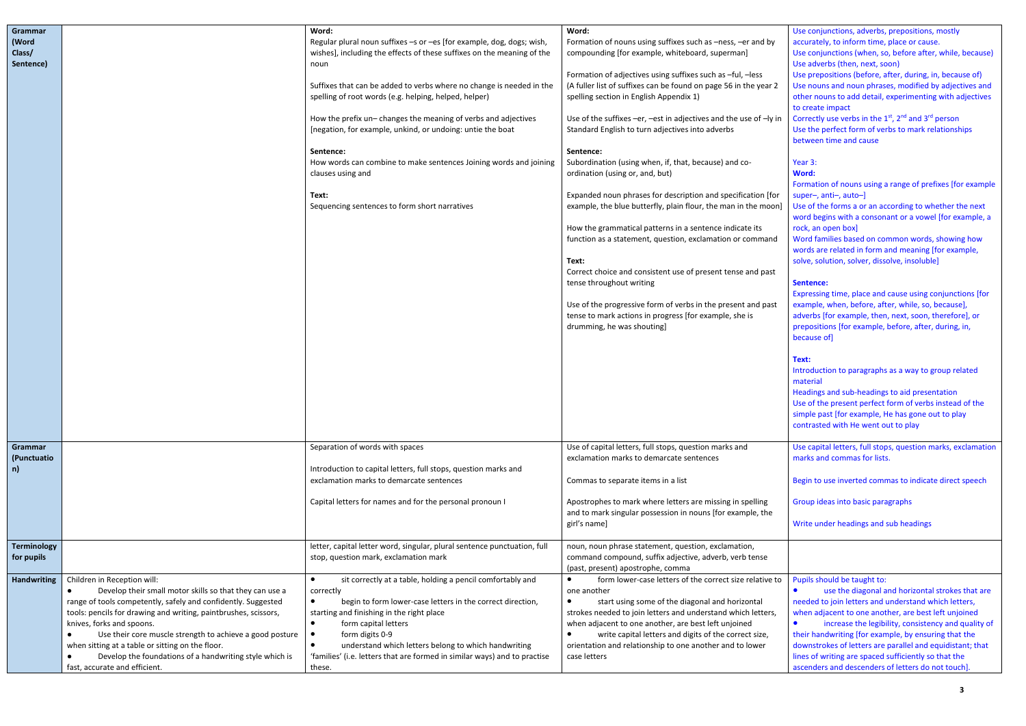| Grammar<br>(Word<br>Class/<br>Sentence) |                                                                                                                                                                                                                                                                                                                                                                                                                                                                     | Word:<br>Regular plural noun suffixes -s or -es [for example, dog, dogs; wish,<br>wishes], including the effects of these suffixes on the meaning of the<br>noun<br>Suffixes that can be added to verbs where no change is needed in the<br>spelling of root words (e.g. helping, helped, helper)<br>How the prefix un- changes the meaning of verbs and adjectives<br>[negation, for example, unkind, or undoing: untie the boat<br>Sentence:<br>How words can combine to make sentences Joining words and joining<br>clauses using and<br>Text:<br>Sequencing sentences to form short narratives | Word:<br>Formation of nouns using suffixes such as -ness, -er and by<br>compounding [for example, whiteboard, superman]<br>Formation of adjectives using suffixes such as -ful, -less<br>(A fuller list of suffixes can be found on page 56 in the year 2<br>spelling section in English Appendix 1)<br>Use of the suffixes -er, -est in adjectives and the use of -ly in<br>Standard English to turn adjectives into adverbs<br>Sentence:<br>Subordination (using when, if, that, because) and co-<br>ordination (using or, and, but)<br>Expanded noun phrases for description and specification [for<br>example, the blue butterfly, plain flour, the man in the moon]<br>How the grammatical patterns in a sentence indicate its<br>function as a statement, question, exclamation or command<br>Text:<br>Correct choice and consistent use of present tense and past<br>tense throughout writing<br>Use of the progressive form of verbs in the present and past<br>tense to mark actions in progress [for example, she is<br>drumming, he was shouting] |
|-----------------------------------------|---------------------------------------------------------------------------------------------------------------------------------------------------------------------------------------------------------------------------------------------------------------------------------------------------------------------------------------------------------------------------------------------------------------------------------------------------------------------|----------------------------------------------------------------------------------------------------------------------------------------------------------------------------------------------------------------------------------------------------------------------------------------------------------------------------------------------------------------------------------------------------------------------------------------------------------------------------------------------------------------------------------------------------------------------------------------------------|--------------------------------------------------------------------------------------------------------------------------------------------------------------------------------------------------------------------------------------------------------------------------------------------------------------------------------------------------------------------------------------------------------------------------------------------------------------------------------------------------------------------------------------------------------------------------------------------------------------------------------------------------------------------------------------------------------------------------------------------------------------------------------------------------------------------------------------------------------------------------------------------------------------------------------------------------------------------------------------------------------------------------------------------------------------|
| <b>Grammar</b><br>(Punctuatio<br>n)     |                                                                                                                                                                                                                                                                                                                                                                                                                                                                     | Separation of words with spaces<br>Introduction to capital letters, full stops, question marks and<br>exclamation marks to demarcate sentences<br>Capital letters for names and for the personal pronoun I                                                                                                                                                                                                                                                                                                                                                                                         | Use of capital letters, full stops, question marks and<br>exclamation marks to demarcate sentences<br>Commas to separate items in a list<br>Apostrophes to mark where letters are missing in spelling<br>and to mark singular possession in nouns [for example, the<br>girl's name]                                                                                                                                                                                                                                                                                                                                                                                                                                                                                                                                                                                                                                                                                                                                                                          |
| <b>Terminology</b><br>for pupils        |                                                                                                                                                                                                                                                                                                                                                                                                                                                                     | letter, capital letter word, singular, plural sentence punctuation, full<br>stop, question mark, exclamation mark                                                                                                                                                                                                                                                                                                                                                                                                                                                                                  | noun, noun phrase statement, question, exclamation,<br>command compound, suffix adjective, adverb, verb tense<br>(past, present) apostrophe, comma                                                                                                                                                                                                                                                                                                                                                                                                                                                                                                                                                                                                                                                                                                                                                                                                                                                                                                           |
| <b>Handwriting</b>                      | Children in Reception will:<br>Develop their small motor skills so that they can use a<br>range of tools competently, safely and confidently. Suggested<br>tools: pencils for drawing and writing, paintbrushes, scissors,<br>knives, forks and spoons.<br>Use their core muscle strength to achieve a good posture<br>when sitting at a table or sitting on the floor.<br>Develop the foundations of a handwriting style which is<br>fast, accurate and efficient. | sit correctly at a table, holding a pencil comfortably and<br>$\bullet$<br>correctly<br>begin to form lower-case letters in the correct direction,<br>starting and finishing in the right place<br>form capital letters<br>$\bullet$<br>form digits 0-9<br>$\bullet$<br>understand which letters belong to which handwriting<br>'families' (i.e. letters that are formed in similar ways) and to practise<br>these.                                                                                                                                                                                | form lower-case letters of the correct size relative to<br>one another<br>start using some of the diagonal and horizontal<br>$\bullet$<br>strokes needed to join letters and understand which letters,<br>when adjacent to one another, are best left unjoined<br>write capital letters and digits of the correct size,<br>orientation and relationship to one another and to lower<br>case letters                                                                                                                                                                                                                                                                                                                                                                                                                                                                                                                                                                                                                                                          |

|         | Use conjunctions, adverbs, prepositions, mostly<br>accurately, to inform time, place or cause.                                          |
|---------|-----------------------------------------------------------------------------------------------------------------------------------------|
|         | Use conjunctions (when, so, before after, while, because)<br>Use adverbs (then, next, soon)                                             |
|         | Use prepositions (before, after, during, in, because of)                                                                                |
| 2       | Use nouns and noun phrases, modified by adjectives and<br>other nouns to add detail, experimenting with adjectives                      |
|         | to create impact                                                                                                                        |
| in      | Correctly use verbs in the 1st, 2nd and 3rd person<br>Use the perfect form of verbs to mark relationships                               |
|         | between time and cause                                                                                                                  |
|         | Year 3:                                                                                                                                 |
|         | Word:<br>Formation of nouns using a range of prefixes [for example                                                                      |
| эr      | super-, anti-, auto-]                                                                                                                   |
| n]      | Use of the forms a or an according to whether the next<br>word begins with a consonant or a vowel [for example, a<br>rock, an open box] |
| d       | Word families based on common words, showing how                                                                                        |
|         | words are related in form and meaning [for example,<br>solve, solution, solver, dissolve, insoluble]                                    |
|         |                                                                                                                                         |
|         | Sentence:<br>Expressing time, place and cause using conjunctions [for                                                                   |
| t       | example, when, before, after, while, so, because],                                                                                      |
|         | adverbs [for example, then, next, soon, therefore], or                                                                                  |
|         | prepositions [for example, before, after, during, in,<br>because of]                                                                    |
|         |                                                                                                                                         |
|         | Text:                                                                                                                                   |
|         | Introduction to paragraphs as a way to group related                                                                                    |
|         | material                                                                                                                                |
|         | Headings and sub-headings to aid presentation<br>Use of the present perfect form of verbs instead of the                                |
|         | simple past [for example, He has gone out to play                                                                                       |
|         | contrasted with He went out to play                                                                                                     |
|         | Use capital letters, full stops, question marks, exclamation                                                                            |
|         | marks and commas for lists.                                                                                                             |
|         | Begin to use inverted commas to indicate direct speech                                                                                  |
|         | Group ideas into basic paragraphs                                                                                                       |
|         | Write under headings and sub headings                                                                                                   |
|         |                                                                                                                                         |
|         |                                                                                                                                         |
|         | Pupils should be taught to:                                                                                                             |
|         | use the diagonal and horizontal strokes that are                                                                                        |
|         | needed to join letters and understand which letters,<br>when adjacent to one another, are best left unjoined                            |
|         | increase the legibility, consistency and quality of                                                                                     |
|         | their handwriting [for example, by ensuring that the                                                                                    |
| to<br>, | downstrokes of letters are parallel and equidistant; that<br>lines of writing are spaced sufficiently so that the                       |